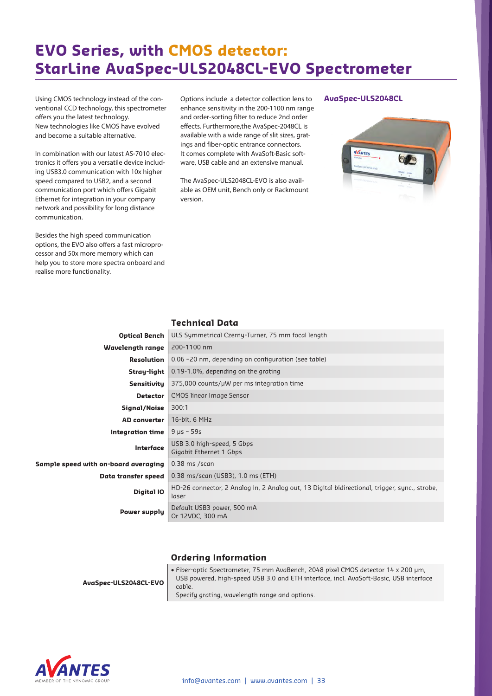# **EVO Series, with CMOS detector: StarLine AvaSpec-ULS2048CL-EVO Spectrometer**

Using CMOS technology instead of the conventional CCD technology, this spectrometer offers you the latest technology. New technologies like CMOS have evolved and become a suitable alternative.

In combination with our latest AS-7010 electronics it offers you a versatile device including USB3.0 communication with 10x higher speed compared to USB2, and a second communication port which offers Gigabit Ethernet for integration in your company network and possibility for long distance communication.

Besides the high speed communication options, the EVO also offers a fast microprocessor and 50x more memory which can help you to store more spectra onboard and realise more functionality.

Options include a detector collection lens to enhance sensitivity in the 200-1100 nm range and order-sorting filter to reduce 2nd order effects. Furthermore,the AvaSpec-2048CL is available with a wide range of slit sizes, gratings and fiber-optic entrance connectors. It comes complete with AvaSoft-Basic software, USB cable and an extensive manual.

The AvaSpec-ULS2048CL-EVO is also available as OEM unit, Bench only or Rackmount version.

#### **AvaSpec-ULS2048CL**



|                                      | .                                                                                                      |  |  |  |
|--------------------------------------|--------------------------------------------------------------------------------------------------------|--|--|--|
| <b>Optical Bench</b>                 | ULS Symmetrical Czerny-Turner, 75 mm focal length                                                      |  |  |  |
| <b>Wavelength range</b>              | 200-1100 nm                                                                                            |  |  |  |
| Resolution                           | 0.06 -20 nm, depending on configuration (see table)                                                    |  |  |  |
| Stray-light                          | 0.19-1.0%, depending on the grating                                                                    |  |  |  |
| <b>Sensitivity</b>                   | 375,000 counts/µW per ms integration time                                                              |  |  |  |
| <b>Detector</b>                      | <b>CMOS linear Image Sensor</b>                                                                        |  |  |  |
| Signal/Noise                         | 300:1                                                                                                  |  |  |  |
| <b>AD</b> converter                  | 16-bit, 6 MHz                                                                                          |  |  |  |
| <b>Integration time</b>              | $9 \text{ }\mu s - 59 \text{s}$                                                                        |  |  |  |
| Interface                            | USB 3.0 high-speed, 5 Gbps<br>Gigabit Ethernet 1 Gbps                                                  |  |  |  |
| Sample speed with on-board averaging | $0.38$ ms /scan                                                                                        |  |  |  |
| Data transfer speed                  | 0.38 ms/scan (USB3), 1.0 ms (ETH)                                                                      |  |  |  |
| Digital IO                           | HD-26 connector, 2 Analog in, 2 Analog out, 13 Digital bidirectional, trigger, sync., strobe,<br>laser |  |  |  |
| <b>Power supply</b>                  | Default USB3 power, 500 mA<br>Or 12VDC, 300 mA                                                         |  |  |  |
|                                      |                                                                                                        |  |  |  |

**Technical Data**

#### **Ordering Information**

• Fiber-optic Spectrometer, 75 mm AvaBench, 2048 pixel CMOS detector 14 x 200 µm, USB powered, high-speed USB 3.0 and ETH interface, incl. AvaSoft-Basic, USB interface cable.



Specify grating, wavelength range and options.